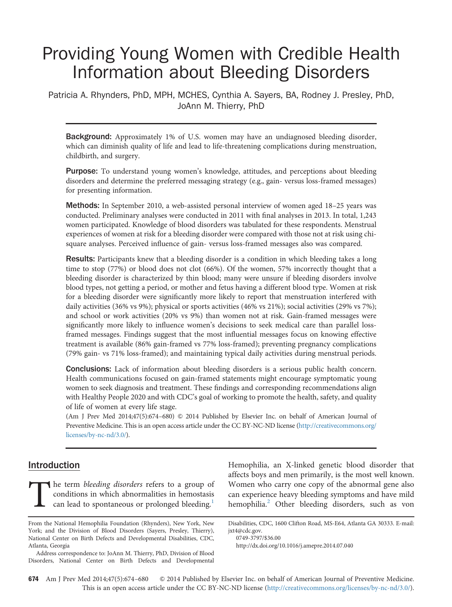# Providing Young Women with Credible Health Information about Bleeding Disorders

Patricia A. Rhynders, PhD, MPH, MCHES, Cynthia A. Sayers, BA, Rodney J. Presley, PhD, JoAnn M. Thierry, PhD

**Background:** Approximately 1% of U.S. women may have an undiagnosed bleeding disorder, which can diminish quality of life and lead to life-threatening complications during menstruation, childbirth, and surgery.

Purpose: To understand young women's knowledge, attitudes, and perceptions about bleeding disorders and determine the preferred messaging strategy (e.g., gain- versus loss-framed messages) for presenting information.

Methods: In September 2010, a web-assisted personal interview of women aged 18-25 years was conducted. Preliminary analyses were conducted in 2011 with final analyses in 2013. In total, 1,243 women participated. Knowledge of blood disorders was tabulated for these respondents. Menstrual experiences of women at risk for a bleeding disorder were compared with those not at risk using chisquare analyses. Perceived influence of gain- versus loss-framed messages also was compared.

Results: Participants knew that a bleeding disorder is a condition in which bleeding takes a long time to stop (77%) or blood does not clot (66%). Of the women, 57% incorrectly thought that a bleeding disorder is characterized by thin blood; many were unsure if bleeding disorders involve blood types, not getting a period, or mother and fetus having a different blood type. Women at risk for a bleeding disorder were significantly more likely to report that menstruation interfered with daily activities (36% vs 9%); physical or sports activities (46% vs 21%); social activities (29% vs 7%); and school or work activities (20% vs 9%) than women not at risk. Gain-framed messages were significantly more likely to influence women's decisions to seek medical care than parallel lossframed messages. Findings suggest that the most influential messages focus on knowing effective treatment is available (86% gain-framed vs 77% loss-framed); preventing pregnancy complications (79% gain- vs 71% loss-framed); and maintaining typical daily activities during menstrual periods.

Conclusions: Lack of information about bleeding disorders is a serious public health concern. Health communications focused on gain-framed statements might encourage symptomatic young women to seek diagnosis and treatment. These findings and corresponding recommendations align with Healthy People 2020 and with CDC's goal of working to promote the health, safety, and quality of life of women at every life stage.

(Am J Prev Med 2014;47(5):674–680) & 2014 Published by Elsevier Inc. on behalf of American Journal of Preventive Medicine. This is an open access article under the CC BY-NC-ND license (http://creativecommons.org/ licenses/by-nc-nd/3.0/).

# **Introduction**

The term bleeding disorders refers to a group of conditions in which abnormalities in hemostasis can lead to spontaneous or prolonged bleeding.<sup>1</sup>

Hemophilia, an X-linked genetic blood disorder that affects boys and men primarily, is the most well known. Women who carry one copy of the abnormal gene also can experience heavy bleeding symptoms and have mild hemophilia.<sup>[2](#page-5-0)</sup> Other bleeding disorders, such as von

From the National Hemophilia Foundation (Rhynders), New York, New York; and the Division of Blood Disorders (Sayers, Presley, Thierry), National Center on Birth Defects and Developmental Disabilities, CDC, Atlanta, Georgia

Address correspondence to: JoAnn M. Thierry, PhD, Division of Blood Disorders, National Center on Birth Defects and Developmental

Disabilities, CDC, 1600 Clifton Road, MS-E64, Atlanta GA 30333. E-mail: [jxt4@cdc.gov.](mailto:jxt4@cdc.gov)

[<sup>0749-3797/\\$36.00</sup>](mailto:jxt4@cdc.gov)

[http://dx.doi.org/10.1016/j.amepre.2014.07.040](dx.doi.org/10.1016/j.amepre.2014.07.040)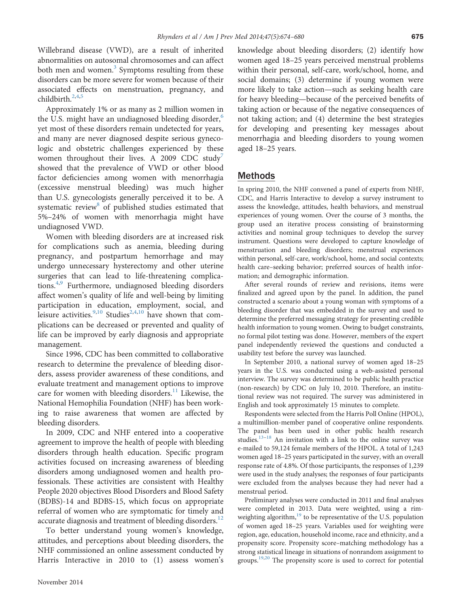Willebrand disease (VWD), are a result of inherited abnormalities on autosomal chromosomes and can affect both men and women. $3$  Symptoms resulting from these disorders can be more severe for women because of their associated effects on menstruation, pregnancy, and childbirth.<sup>[2,4,5](#page-5-0)</sup>

Approximately 1% or as many as 2 million women in the U.S. might have an undiagnosed bleeding disorder, $6$ yet most of these disorders remain undetected for years, and many are never diagnosed despite serious gynecologic and obstetric challenges experienced by these women throughout their lives. A 2009 CDC study<sup>7</sup> showed that the prevalence of VWD or other blood factor deficiencies among women with menorrhagia (excessive menstrual bleeding) was much higher than U.S. gynecologists generally perceived it to be. A systematic review<sup>8</sup> of published studies estimated that 5%–24% of women with menorrhagia might have undiagnosed VWD.

Women with bleeding disorders are at increased risk for complications such as anemia, bleeding during pregnancy, and postpartum hemorrhage and may undergo unnecessary hysterectomy and other uterine surgeries that can lead to life-threatening complica-tions.<sup>[4](#page-5-0)[,9](#page-6-0)</sup> Furthermore, undiagnosed bleeding disorders affect women's quality of life and well-being by limiting participation in education, employment, social, and leisure activities.<sup>9[,10](#page-6-0)</sup> Studies<sup>2,4,10</sup> have shown that complications can be decreased or prevented and quality of life can be improved by early diagnosis and appropriate management.

Since 1996, CDC has been committed to collaborative research to determine the prevalence of bleeding disorders, assess provider awareness of these conditions, and evaluate treatment and management options to improve care for women with bleeding disorders.<sup>[11](#page-6-0)</sup> Likewise, the National Hemophilia Foundation (NHF) has been working to raise awareness that women are affected by bleeding disorders.

In 2009, CDC and NHF entered into a cooperative agreement to improve the health of people with bleeding disorders through health education. Specific program activities focused on increasing awareness of bleeding disorders among undiagnosed women and health professionals. These activities are consistent with Healthy People 2020 objectives Blood Disorders and Blood Safety (BDBS)-14 and BDBS-15, which focus on appropriate referral of women who are symptomatic for timely and accurate diagnosis and treatment of bleeding disorders.<sup>12</sup>

To better understand young women's knowledge, attitudes, and perceptions about bleeding disorders, the NHF commissioned an online assessment conducted by Harris Interactive in 2010 to (1) assess women's

knowledge about bleeding disorders; (2) identify how women aged 18–25 years perceived menstrual problems within their personal, self-care, work/school, home, and social domains; (3) determine if young women were more likely to take action—such as seeking health care for heavy bleeding—because of the perceived benefits of taking action or because of the negative consequences of not taking action; and (4) determine the best strategies for developing and presenting key messages about menorrhagia and bleeding disorders to young women aged 18–25 years.

## Methods

In spring 2010, the NHF convened a panel of experts from NHF, CDC, and Harris Interactive to develop a survey instrument to assess the knowledge, attitudes, health behaviors, and menstrual experiences of young women. Over the course of 3 months, the group used an iterative process consisting of brainstorming activities and nominal group techniques to develop the survey instrument. Questions were developed to capture knowledge of menstruation and bleeding disorders; menstrual experiences within personal, self-care, work/school, home, and social contexts; health care–seeking behavior; preferred sources of health information; and demographic information.

After several rounds of review and revisions, items were finalized and agreed upon by the panel. In addition, the panel constructed a scenario about a young woman with symptoms of a bleeding disorder that was embedded in the survey and used to determine the preferred messaging strategy for presenting credible health information to young women. Owing to budget constraints, no formal pilot testing was done. However, members of the expert panel independently reviewed the questions and conducted a usability test before the survey was launched.

In September 2010, a national survey of women aged 18–25 years in the U.S. was conducted using a web-assisted personal interview. The survey was determined to be public health practice (non-research) by CDC on July 10, 2010. Therefore, an institutional review was not required. The survey was administered in English and took approximately 15 minutes to complete.

Respondents were selected from the Harris Poll Online (HPOL), a multimillion-member panel of cooperative online respondents. The panel has been used in other public health research studies. $13-18$  $13-18$  $13-18$  An invitation with a link to the online survey was e-mailed to 59,124 female members of the HPOL. A total of 1,243 women aged 18–25 years participated in the survey, with an overall response rate of 4.8%. Of those participants, the responses of 1,239 were used in the study analyses; the responses of four participants were excluded from the analyses because they had never had a menstrual period.

Preliminary analyses were conducted in 2011 and final analyses were completed in 2013. Data were weighted, using a rim-weighting algorithm,<sup>[19](#page-6-0)</sup> to be representative of the U.S. population of women aged 18–25 years. Variables used for weighting were region, age, education, household income, race and ethnicity, and a propensity score. Propensity score–matching methodology has a strong statistical lineage in situations of nonrandom assignment to groups.<sup>19,20</sup> The propensity score is used to correct for potential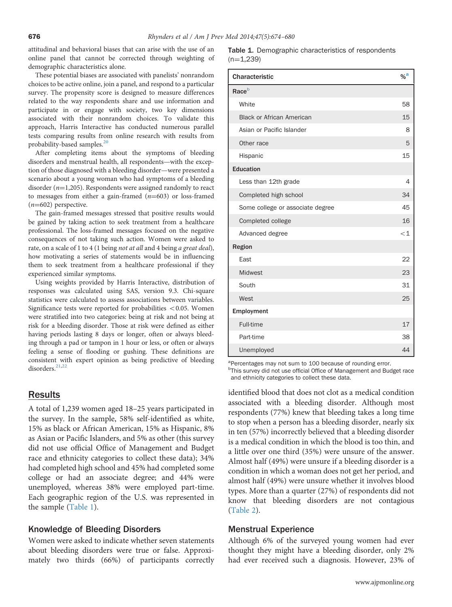attitudinal and behavioral biases that can arise with the use of an online panel that cannot be corrected through weighting of demographic characteristics alone.

These potential biases are associated with panelists' nonrandom choices to be active online, join a panel, and respond to a particular survey. The propensity score is designed to measure differences related to the way respondents share and use information and participate in or engage with society, two key dimensions associated with their nonrandom choices. To validate this approach, Harris Interactive has conducted numerous parallel tests comparing results from online research with results from probability-based samples.<sup>[20](#page-6-0)</sup>

After completing items about the symptoms of bleeding disorders and menstrual health, all respondents—with the exception of those diagnosed with a bleeding disorder—were presented a scenario about a young woman who had symptoms of a bleeding disorder ( $n=1,205$ ). Respondents were assigned randomly to react to messages from either a gain-framed  $(n=603)$  or loss-framed  $(n=602)$  perspective.

The gain-framed messages stressed that positive results would be gained by taking action to seek treatment from a healthcare professional. The loss-framed messages focused on the negative consequences of not taking such action. Women were asked to rate, on a scale of 1 to 4 (1 being not at all and 4 being a great deal), how motivating a series of statements would be in influencing them to seek treatment from a healthcare professional if they experienced similar symptoms.

Using weights provided by Harris Interactive, distribution of responses was calculated using SAS, version 9.3. Chi-square statistics were calculated to assess associations between variables. Significance tests were reported for probabilities  $< 0.05$ . Women were stratified into two categories: being at risk and not being at risk for a bleeding disorder. Those at risk were defined as either having periods lasting 8 days or longer, often or always bleeding through a pad or tampon in 1 hour or less, or often or always feeling a sense of flooding or gushing. These definitions are consistent with expert opinion as being predictive of bleeding disorders.<sup>[21](#page-6-0),[22](#page-6-0)</sup>

# Results

A total of 1,239 women aged 18–25 years participated in the survey. In the sample, 58% self-identified as white, 15% as black or African American, 15% as Hispanic, 8% as Asian or Pacific Islanders, and 5% as other (this survey did not use official Office of Management and Budget race and ethnicity categories to collect these data); 34% had completed high school and 45% had completed some college or had an associate degree; and 44% were unemployed, whereas 38% were employed part-time. Each geographic region of the U.S. was represented in the sample (Table 1).

## Knowledge of Bleeding Disorders

Women were asked to indicate whether seven statements about bleeding disorders were true or false. Approximately two thirds (66%) of participants correctly Table 1. Demographic characteristics of respondents  $(n=1,239)$ 

| Characteristic                   | $%$ <sup>a</sup> |
|----------------------------------|------------------|
| Race <sup>b</sup>                |                  |
| White                            | 58               |
| <b>Black or African American</b> | 15               |
| Asian or Pacific Islander        | 8                |
| Other race                       | 5                |
| Hispanic                         | 15               |
| <b>Education</b>                 |                  |
| Less than 12th grade             | 4                |
| Completed high school            | 34               |
| Some college or associate degree | 45               |
| Completed college                | 16               |
| Advanced degree                  | $\lt1$           |
| Region                           |                  |
| East                             | 22               |
| Midwest                          | 23               |
| South                            | 31               |
| West                             | 25               |
| Employment                       |                  |
| Full-time                        | 17               |
| Part-time                        | 38               |
| Unemployed                       | 44               |

<sup>a</sup>Percentages may not sum to 100 because of rounding error.

<sup>b</sup> This survey did not use official Office of Management and Budget race and ethnicity categories to collect these data.

identified blood that does not clot as a medical condition associated with a bleeding disorder. Although most respondents (77%) knew that bleeding takes a long time to stop when a person has a bleeding disorder, nearly six in ten (57%) incorrectly believed that a bleeding disorder is a medical condition in which the blood is too thin, and a little over one third (35%) were unsure of the answer. Almost half (49%) were unsure if a bleeding disorder is a condition in which a woman does not get her period, and almost half (49%) were unsure whether it involves blood types. More than a quarter (27%) of respondents did not know that bleeding disorders are not contagious ([Table 2](#page-3-0)).

## Menstrual Experience

Although 6% of the surveyed young women had ever thought they might have a bleeding disorder, only 2% had ever received such a diagnosis. However, 23% of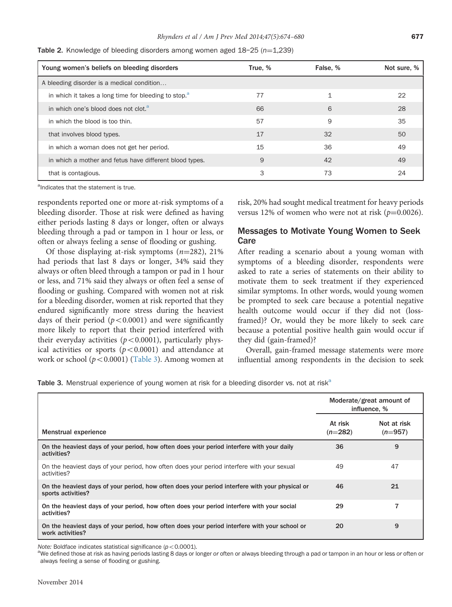| Young women's beliefs on bleeding disorders                      | True. % | False, % | Not sure, % |
|------------------------------------------------------------------|---------|----------|-------------|
| A bleeding disorder is a medical condition                       |         |          |             |
| in which it takes a long time for bleeding to stop. <sup>8</sup> | 77      | 1        | 22          |
| in which one's blood does not clot. <sup>a</sup>                 | 66      | 6        | 28          |
| in which the blood is too thin.                                  | 57      | 9        | 35          |
| that involves blood types.                                       | 17      | 32       | 50          |
| in which a woman does not get her period.                        | 15      | 36       | 49          |
| in which a mother and fetus have different blood types.          | 9       | 42       | 49          |
| that is contagious.                                              | 3       | 73       | 24          |

<span id="page-3-0"></span>Table 2. Knowledge of bleeding disorders among women aged  $18-25$  ( $n=1,239$ )

<sup>a</sup>Indicates that the statement is true.

respondents reported one or more at-risk symptoms of a bleeding disorder. Those at risk were defined as having either periods lasting 8 days or longer, often or always bleeding through a pad or tampon in 1 hour or less, or often or always feeling a sense of flooding or gushing.

Of those displaying at-risk symptoms  $(n=282)$ , 21% had periods that last 8 days or longer, 34% said they always or often bleed through a tampon or pad in 1 hour or less, and 71% said they always or often feel a sense of flooding or gushing. Compared with women not at risk for a bleeding disorder, women at risk reported that they endured significantly more stress during the heaviest days of their period  $(p<0.0001)$  and were significantly more likely to report that their period interfered with their everyday activities  $(p<0.0001)$ , particularly physical activities or sports ( $p < 0.0001$ ) and attendance at work or school ( $p < 0.0001$ ) (Table 3). Among women at risk, 20% had sought medical treatment for heavy periods versus 12% of women who were not at risk  $(p=0.0026)$ .

# Messages to Motivate Young Women to Seek Care

After reading a scenario about a young woman with symptoms of a bleeding disorder, respondents were asked to rate a series of statements on their ability to motivate them to seek treatment if they experienced similar symptoms. In other words, would young women be prompted to seek care because a potential negative health outcome would occur if they did not (lossframed)? Or, would they be more likely to seek care because a potential positive health gain would occur if they did (gain-framed)?

Overall, gain-framed message statements were more influential among respondents in the decision to seek

Table 3. Menstrual experience of young women at risk for a bleeding disorder vs. not at risk<sup>a</sup>

|                                                                                                                       | Moderate/great amount of<br>influence, % |                          |
|-----------------------------------------------------------------------------------------------------------------------|------------------------------------------|--------------------------|
| Menstrual experience                                                                                                  | At risk<br>$(n=282)$                     | Not at risk<br>$(n=957)$ |
| On the heaviest days of your period, how often does your period interfere with your daily<br>activities?              | 36                                       | 9                        |
| On the heaviest days of your period, how often does your period interfere with your sexual<br>activities?             | 49                                       | 47                       |
| On the heaviest days of your period, how often does your period interfere with your physical or<br>sports activities? | 46                                       | 21                       |
| On the heaviest days of your period, how often does your period interfere with your social<br>activities?             | 29                                       | 7                        |
| On the heaviest days of your period, how often does your period interfere with your school or<br>work activities?     | 20                                       | 9                        |

Note: Boldface indicates statistical significance ( $p < 0.0001$ ).

 $^{\rm a}$ We defined those at risk as having periods lasting 8 days or longer or often or always bleeding through a pad or tampon in an hour or less or often or always feeling a sense of flooding or gushing.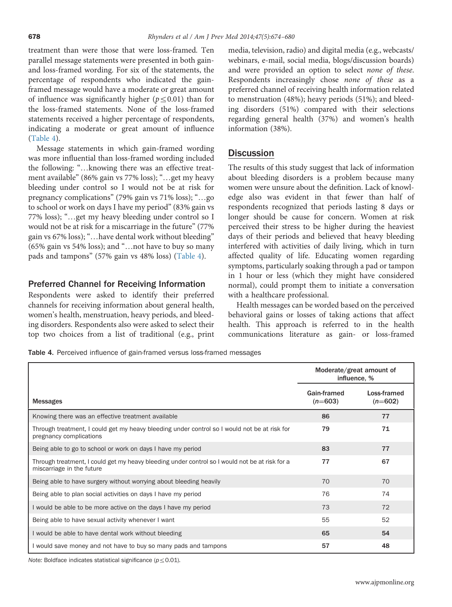treatment than were those that were loss-framed. Ten parallel message statements were presented in both gainand loss-framed wording. For six of the statements, the percentage of respondents who indicated the gainframed message would have a moderate or great amount of influence was significantly higher ( $p \leq 0.01$ ) than for the loss-framed statements. None of the loss-framed statements received a higher percentage of respondents, indicating a moderate or great amount of influence (Table 4).

Message statements in which gain-framed wording was more influential than loss-framed wording included the following: "…knowing there was an effective treatment available" (86% gain vs 77% loss); "…get my heavy bleeding under control so I would not be at risk for pregnancy complications" (79% gain vs 71% loss); "…go to school or work on days I have my period" (83% gain vs 77% loss); "…get my heavy bleeding under control so I would not be at risk for a miscarriage in the future" (77% gain vs 67% loss); "…have dental work without bleeding" (65% gain vs 54% loss); and "…not have to buy so many pads and tampons" (57% gain vs 48% loss) (Table 4).

## Preferred Channel for Receiving Information

Respondents were asked to identify their preferred channels for receiving information about general health, women's health, menstruation, heavy periods, and bleeding disorders. Respondents also were asked to select their top two choices from a list of traditional (e.g., print

media, television, radio) and digital media (e.g., webcasts/ webinars, e-mail, social media, blogs/discussion boards) and were provided an option to select none of these. Respondents increasingly chose none of these as a preferred channel of receiving health information related to menstruation (48%); heavy periods (51%); and bleeding disorders (51%) compared with their selections regarding general health (37%) and women's health information (38%).

# **Discussion**

The results of this study suggest that lack of information about bleeding disorders is a problem because many women were unsure about the definition. Lack of knowledge also was evident in that fewer than half of respondents recognized that periods lasting 8 days or longer should be cause for concern. Women at risk perceived their stress to be higher during the heaviest days of their periods and believed that heavy bleeding interfered with activities of daily living, which in turn affected quality of life. Educating women regarding symptoms, particularly soaking through a pad or tampon in 1 hour or less (which they might have considered normal), could prompt them to initiate a conversation with a healthcare professional.

Health messages can be worded based on the perceived behavioral gains or losses of taking actions that affect health. This approach is referred to in the health communications literature as gain- or loss-framed

Table 4. Perceived influence of gain-framed versus loss-framed messages

|                                                                                                                             | Moderate/great amount of<br>influence, % |                          |
|-----------------------------------------------------------------------------------------------------------------------------|------------------------------------------|--------------------------|
| <b>Messages</b>                                                                                                             | Gain-framed<br>$(n=603)$                 | Loss-framed<br>$(n=602)$ |
| Knowing there was an effective treatment available                                                                          | 86                                       | 77                       |
| Through treatment, I could get my heavy bleeding under control so I would not be at risk for<br>pregnancy complications     | 79                                       | 71                       |
| Being able to go to school or work on days I have my period                                                                 | 83                                       | 77                       |
| Through treatment, I could get my heavy bleeding under control so I would not be at risk for a<br>miscarriage in the future | 77                                       | 67                       |
| Being able to have surgery without worrying about bleeding heavily                                                          | 70                                       | 70                       |
| Being able to plan social activities on days I have my period                                                               | 76                                       | 74                       |
| I would be able to be more active on the days I have my period                                                              | 73                                       | 72                       |
| Being able to have sexual activity whenever I want                                                                          | 55                                       | 52                       |
| I would be able to have dental work without bleeding                                                                        | 65                                       | 54                       |
| I would save money and not have to buy so many pads and tampons                                                             | 57                                       | 48                       |

Note: Boldface indicates statistical significance ( $p \leq 0.01$ ).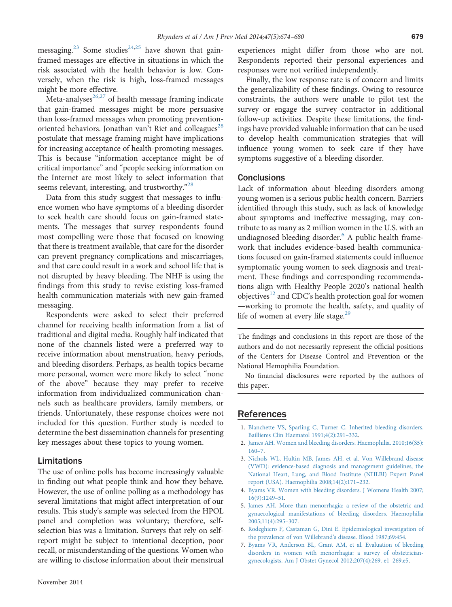<span id="page-5-0"></span>messaging.<sup>23</sup> Some studies<sup>[24,25](#page-6-0)</sup> have shown that gainframed messages are effective in situations in which the risk associated with the health behavior is low. Conversely, when the risk is high, loss-framed messages might be more effective.

Meta-analyses $^{26,27}$  $^{26,27}$  $^{26,27}$  of health message framing indicate that gain-framed messages might be more persuasive than loss-framed messages when promoting preventionoriented behaviors. Jonathan van't Riet and colleagues<sup>28</sup> postulate that message framing might have implications for increasing acceptance of health-promoting messages. This is because "information acceptance might be of critical importance" and "people seeking information on the Internet are most likely to select information that seems relevant, interesting, and trustworthy."<sup>[28](#page-6-0)</sup>

Data from this study suggest that messages to influence women who have symptoms of a bleeding disorder to seek health care should focus on gain-framed statements. The messages that survey respondents found most compelling were those that focused on knowing that there is treatment available, that care for the disorder can prevent pregnancy complications and miscarriages, and that care could result in a work and school life that is not disrupted by heavy bleeding. The NHF is using the findings from this study to revise existing loss-framed health communication materials with new gain-framed messaging.

Respondents were asked to select their preferred channel for receiving health information from a list of traditional and digital media. Roughly half indicated that none of the channels listed were a preferred way to receive information about menstruation, heavy periods, and bleeding disorders. Perhaps, as health topics became more personal, women were more likely to select "none of the above" because they may prefer to receive information from individualized communication channels such as healthcare providers, family members, or friends. Unfortunately, these response choices were not included for this question. Further study is needed to determine the best dissemination channels for presenting key messages about these topics to young women.

#### Limitations

The use of online polls has become increasingly valuable in finding out what people think and how they behave. However, the use of online polling as a methodology has several limitations that might affect interpretation of our results. This study's sample was selected from the HPOL panel and completion was voluntary; therefore, selfselection bias was a limitation. Surveys that rely on selfreport might be subject to intentional deception, poor recall, or misunderstanding of the questions. Women who are willing to disclose information about their menstrual

experiences might differ from those who are not. Respondents reported their personal experiences and responses were not verified independently.

Finally, the low response rate is of concern and limits the generalizability of these findings. Owing to resource constraints, the authors were unable to pilot test the survey or engage the survey contractor in additional follow-up activities. Despite these limitations, the findings have provided valuable information that can be used to develop health communication strategies that will influence young women to seek care if they have symptoms suggestive of a bleeding disorder.

#### **Conclusions**

Lack of information about bleeding disorders among young women is a serious public health concern. Barriers identified through this study, such as lack of knowledge about symptoms and ineffective messaging, may contribute to as many as 2 million women in the U.S. with an undiagnosed bleeding disorder. $6$  A public health framework that includes evidence-based health communications focused on gain-framed statements could influence symptomatic young women to seek diagnosis and treatment. These findings and corresponding recommendations align with Healthy People 2020's national health objectives<sup>[12](#page-6-0)</sup> and CDC's health protection goal for women —working to promote the health, safety, and quality of life of women at every life stage.<sup>[29](#page-6-0)</sup>

The findings and conclusions in this report are those of the authors and do not necessarily represent the official positions of the Centers for Disease Control and Prevention or the National Hemophilia Foundation.

No financial disclosures were reported by the authors of this paper.

## References

- 1. [Blanchette VS, Sparling C, Turner C. Inherited bleeding disorders.](http://refhub.elsevier.com/S0749-3797(14)00407-3/sbref1) [Baillieres Clin Haematol 1991;4\(2\):291](http://refhub.elsevier.com/S0749-3797(14)00407-3/sbref1)–332.
- 2. [James AH. Women and bleeding disorders. Haemophilia. 2010;16\(S5\):](http://refhub.elsevier.com/S0749-3797(14)00407-3/sbref2) [160](http://refhub.elsevier.com/S0749-3797(14)00407-3/sbref2)–7.
- 3. [Nichols WL, Hultin MB, James AH, et al. Von Willebrand disease](http://refhub.elsevier.com/S0749-3797(14)00407-3/sbref3) [\(VWD\): evidence-based diagnosis and management guidelines, the](http://refhub.elsevier.com/S0749-3797(14)00407-3/sbref3) [National Heart, Lung, and Blood Institute \(NHLBI\) Expert Panel](http://refhub.elsevier.com/S0749-3797(14)00407-3/sbref3) [report \(USA\). Haemophilia 2008;14\(2\):171](http://refhub.elsevier.com/S0749-3797(14)00407-3/sbref3)–232.
- 4. [Byams VR. Women with bleeding disorders. J Womens Health 2007;](http://refhub.elsevier.com/S0749-3797(14)00407-3/sbref4) [16\(9\):1249](http://refhub.elsevier.com/S0749-3797(14)00407-3/sbref4)–51.
- 5. [James AH. More than menorrhagia: a review of the obstetric and](http://refhub.elsevier.com/S0749-3797(14)00407-3/sbref5) [gynaecological manifestations of bleeding disorders. Haemophilia](http://refhub.elsevier.com/S0749-3797(14)00407-3/sbref5) [2005;11\(4\):295](http://refhub.elsevier.com/S0749-3797(14)00407-3/sbref5)–307.
- 6. [Rodeghiero F, Castaman G, Dini E. Epidemiological investigation of](http://refhub.elsevier.com/S0749-3797(14)00407-3/sbref6) [the prevalence of von Willebrand](http://refhub.elsevier.com/S0749-3797(14)00407-3/sbref6)'s disease. Blood 1987;69:454.
- 7. [Byams VR, Anderson BL, Grant AM, et al. Evaluation of bleeding](http://refhub.elsevier.com/S0749-3797(14)00407-3/sbref7) [disorders in women with menorrhagia: a survey of obstetrician](http://refhub.elsevier.com/S0749-3797(14)00407-3/sbref7)[gynecologists. Am J Obstet Gynecol 2012;207\(4\):269. e1](http://refhub.elsevier.com/S0749-3797(14)00407-3/sbref7)–269.e5.